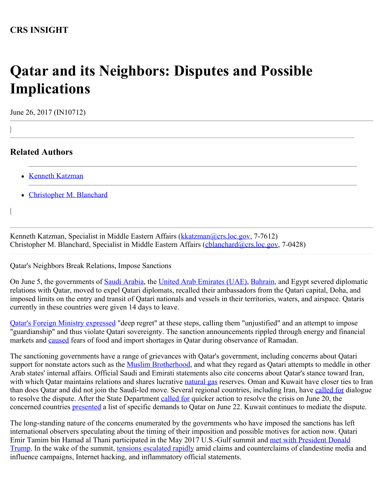## **Qatar and its Neighbors: Disputes and Possible Implications**

June 26, 2017 (IN10712)

## **Related Authors**

|

|

- [Kenneth Katzman](http://www.crs.gov/Author/index?id=3864)
- [Christopher M. Blanchard](http://www.crs.gov/Author/index?id=100385)

Kenneth Katzman, Specialist in Middle Eastern Affairs [\(kkatzman@crs.loc.gov](mailto:kkatzman@crs.loc.gov), 7-7612) Christopher M. Blanchard, Specialist in Middle Eastern Affairs [\(cblanchard@crs.loc.gov](mailto:cblanchard@crs.loc.gov), 7-0428)

Qatar's Neighbors Break Relations, Impose Sanctions

On June 5, the governments of [Saudi Arabia](http://www.mofa.gov.sa/sites/mofaen/ServicesAndInformation/news/MinistryNews/Pages/ArticleID201765134958689.aspx), the [United Arab Emirates \(UAE\)](https://www.mofa.gov.ae/EN/MediaCenter/News/Pages/05-06-2017-UAE-Qatar.aspx), [Bahrain](http://www.mofa.gov.bh/Default.aspx?tabid=7824&language=en-US&ItemId=7474), and Egypt severed diplomatic relations with Qatar, moved to expel Qatari diplomats, recalled their ambassadors from the Qatari capital, Doha, and imposed limits on the entry and transit of Qatari nationals and vessels in their territories, waters, and airspace. Qataris currently in these countries were given 14 days to leave.

[Qatar's Foreign Ministry expressed](https://www.mofa.gov.qa/en/all-mofa-news/details/2017/06/04/qatar-regrets-the-decision-by-saudi-arabia-the-united-arab-emirates-and-bahrain-to-sever-relations) "deep regret" at these steps, calling them "unjustified" and an attempt to impose "guardianship" and thus violate Qatari sovereignty. The sanction announcements rippled through energy and financial markets and **caused** fears of food and import shortages in Qatar during observance of Ramadan.

The sanctioning governments have a range of grievances with Qatar's government, including concerns about Qatari support for nonstate actors such as the [Muslim Brotherhood](https://pomeps.org/2014/03/18/qatar-the-ikhwan-and-transnational-relations-in-the-gulf/), and what they regard as Qatari attempts to meddle in other Arab states' internal affairs. Official Saudi and Emirati statements also cite concerns about Qatar's stance toward Iran, with which Qatar maintains relations and shares lucrative [natural gas](https://www.eia.gov/beta/international/analysis_includes/countries_long/Qatar/qatar.pdf) reserves. Oman and Kuwait have closer ties to Iran than does Qatar and did not join the Saudi-led move. Several regional countries, including Iran, have [called for](https://twitter.com/JZarif/status/871706969962315776) dialogue to resolve the dispute. After the State Department [called for](https://www.state.gov/r/pa/prs/dpb/2017/06/272056.htm) quicker action to resolve the crisis on June 20, the concerned countries **presented** a list of specific demands to Qatar on June 22. Kuwait continues to mediate the dispute.

The long-standing nature of the concerns enumerated by the governments who have imposed the sanctions has left international observers speculating about the timing of their imposition and possible motives for action now. Qatari Emir Tamim bin Hamad al Thani participated in the May 2017 U.S.-Gulf summit and [met with President Donald](https://twitter.com/StateDept/status/866267018365812736) [Trump](https://twitter.com/StateDept/status/866267018365812736). In the wake of the summit, [tensions escalated rapidly](http://www.reuters.com/article/us-qatar-cyber-idUSKBN18K02Z?il=0) amid claims and counterclaims of clandestine media and influence campaigns, Internet hacking, and inflammatory official statements.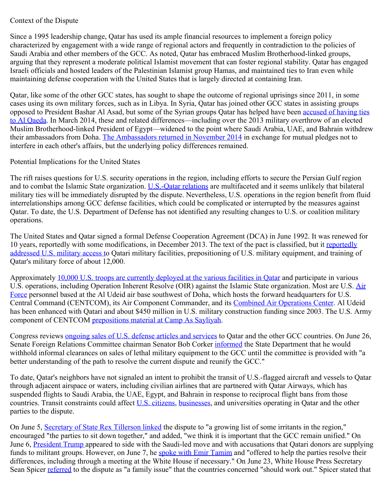## Context of the Dispute

Since a 1995 leadership change, Qatar has used its ample financial resources to implement a foreign policy characterized by engagement with a wide range of regional actors and frequently in contradiction to the policies of Saudi Arabia and other members of the GCC. As noted, Qatar has embraced Muslim Brotherhood-linked groups, arguing that they represent a moderate political Islamist movement that can foster regional stability. Qatar has engaged Israeli officials and hosted leaders of the Palestinian Islamist group Hamas, and maintained ties to Iran even while maintaining defense cooperation with the United States that is largely directed at containing Iran.

Qatar, like some of the other GCC states, has sought to shape the outcome of regional uprisings since 2011, in some cases using its own military forces, such as in Libya. In Syria, Qatar has joined other GCC states in assisting groups opposed to President Bashar Al Asad, but some of the Syrian groups Qatar has helped have been [accused of having ties](https://www.nytimes.com/2014/09/08/world/middleeast/qatars-support-of-extremists-alienates-allies-near-and-far.html?_r=0) [to Al Qaeda.](https://www.nytimes.com/2014/09/08/world/middleeast/qatars-support-of-extremists-alienates-allies-near-and-far.html?_r=0) In March 2014, these and related differences—including over the 2013 military overthrow of an elected Muslim Brotherhood-linked President of Egypt—widened to the point where Saudi Arabia, UAE, and Bahrain withdrew their ambassadors from Doha. [The Ambassadors returned in November 2014](http://www.reuters.com/article/us-gulf-summit-ambassadors-idUSKCN0J00Y420141116) in exchange for mutual pledges not to interfere in each other's affairs, but the underlying policy differences remained.

## Potential Implications for the United States

The rift raises questions for U.S. security operations in the region, including efforts to secure the Persian Gulf region and to combat the Islamic State organization. [U.S.-Qatar relations](https://www.state.gov/r/pa/ei/bgn/5437.htm) are multifaceted and it seems unlikely that bilateral military ties will be immediately disrupted by the dispute. Nevertheless, U.S. operations in the region benefit from fluid interrelationships among GCC defense facilities, which could be complicated or interrupted by the measures against Qatar. To date, the U.S. Department of Defense has not identified any resulting changes to U.S. or coalition military operations.

The United States and Qatar signed a formal Defense Cooperation Agreement (DCA) in June 1992. It was renewed for 10 years, [reportedly](http://ssi.armywarcollege.edu/pdffiles/pub185.pdf) with some modifications, in December 2013. The text of the pact is classified, but it reportedly [addressed U.S. military access t](http://ssi.armywarcollege.edu/pdffiles/pub185.pdf)o Qatari military facilities, prepositioning of U.S. military equipment, and training of Qatar's military force of about 12,000.

Approximately [10,000 U.S. troops are currently deployed at the various facilities in Qatar](https://www.voanews.com/a/turkey-opens-first-middle-east-military-base-in-qatar/3323653.html) and participate in various U.S. operations, including Operation Inherent Resolve (OIR) against the Islamic State organization. Most are U.S. [Air](http://www.afcent.af.mil/Units/379th-Air-Expeditionary-Wing/Fact-Sheets/Display/Article/501479/379th-air-expeditionary-wing-fact-sheet/) [Force](http://www.afcent.af.mil/Units/379th-Air-Expeditionary-Wing/Fact-Sheets/Display/Article/501479/379th-air-expeditionary-wing-fact-sheet/) personnel based at the Al Udeid air base southwest of Doha, which hosts the forward headquarters for U.S. Central Command (CENTCOM), its Air Component Commander, and its [Combined Air Operations Center](http://www.afcent.af.mil/About/Fact-Sheets/Display/Article/217803/combined-air-operations-center-caoc/). Al Udeid has been enhanced with Qatari and about \$450 million in U.S. military construction funding since 2003. The U.S. Army component of CENTCOM [prepositions material at Camp As Sayliyah](http://www.aschq.army.mil/home/AFSBn_Qatar.aspx).

Congress reviews [ongoing sales of U.S. defense articles and services](http://www.defensenews.com/articles/us-qatar-fighter-jet-sale-worth-21b-in-middle-of-diplomatic-crisis) to Qatar and the other GCC countries. On June 26, Senate Foreign Relations Committee chairman Senator Bob Corker *informed* the State Department that he would withhold informal clearances on sales of lethal military equipment to the GCC until the committee is provided with "a better understanding of the path to resolve the current dispute and reunify the GCC."

To date, Qatar's neighbors have not signaled an intent to prohibit the transit of U.S.-flagged aircraft and vessels to Qatar through adjacent airspace or waters, including civilian airlines that are partnered with Qatar Airways, which has suspended flights to Saudi Arabia, the UAE, Egypt, and Bahrain in response to reciprocal flight bans from those countries. Transit constraints could affect [U.S. citizens,](https://qa.usembassy.gov/message-u-s-citizens-qatar/) [businesses](http://www.amchamqatar.org/), and universities operating in Qatar and the other parties to the dispute.

On June 5, [Secretary of State Rex Tillerson linked](https://www.state.gov/secretary/remarks/2017/06/271571.htm) the dispute to "a growing list of some irritants in the region," encouraged "the parties to sit down together," and added, "we think it is important that the GCC remain unified." On June 6, [President Trump](https://twitter.com/realDonaldTrump/status/872086906804240384) appeared to side with the Saudi-led move and with accusations that Qatari donors are supplying funds to militant groups. However, on June 7, he [spoke with Emir Tamim](https://www.whitehouse.gov/the-press-office/2017/06/07/readout-president-donald-j-trumps-call-amir-sheikh-tameem-bin-hamad-al) and "offered to help the parties resolve their differences, including through a meeting at the White House if necessary." On June 23, White House Press Secretary Sean Spicer [referred](https://www.whitehouse.gov/the-press-office/2017/06/23/press-briefing-press-secretary-sean-spicer-6232017-56) to the dispute as "a family issue" that the countries concerned "should work out." Spicer stated that